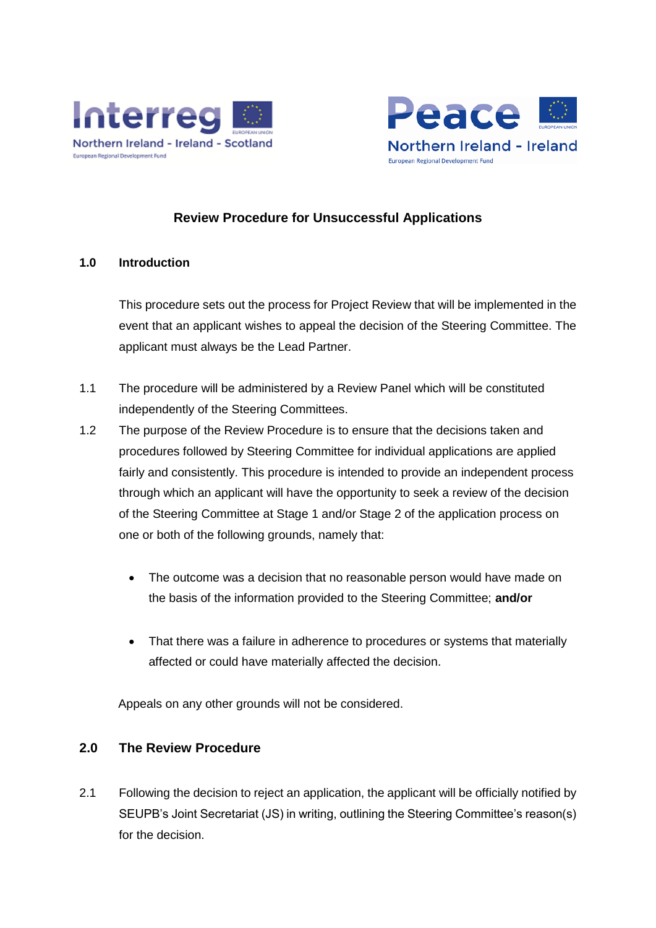



# **Review Procedure for Unsuccessful Applications**

#### **1.0 Introduction**

This procedure sets out the process for Project Review that will be implemented in the event that an applicant wishes to appeal the decision of the Steering Committee. The applicant must always be the Lead Partner.

- 1.1 The procedure will be administered by a Review Panel which will be constituted independently of the Steering Committees.
- 1.2 The purpose of the Review Procedure is to ensure that the decisions taken and procedures followed by Steering Committee for individual applications are applied fairly and consistently. This procedure is intended to provide an independent process through which an applicant will have the opportunity to seek a review of the decision of the Steering Committee at Stage 1 and/or Stage 2 of the application process on one or both of the following grounds, namely that:
	- The outcome was a decision that no reasonable person would have made on the basis of the information provided to the Steering Committee; **and/or**
	- That there was a failure in adherence to procedures or systems that materially affected or could have materially affected the decision.

Appeals on any other grounds will not be considered.

### **2.0 The Review Procedure**

2.1 Following the decision to reject an application, the applicant will be officially notified by SEUPB's Joint Secretariat (JS) in writing, outlining the Steering Committee's reason(s) for the decision.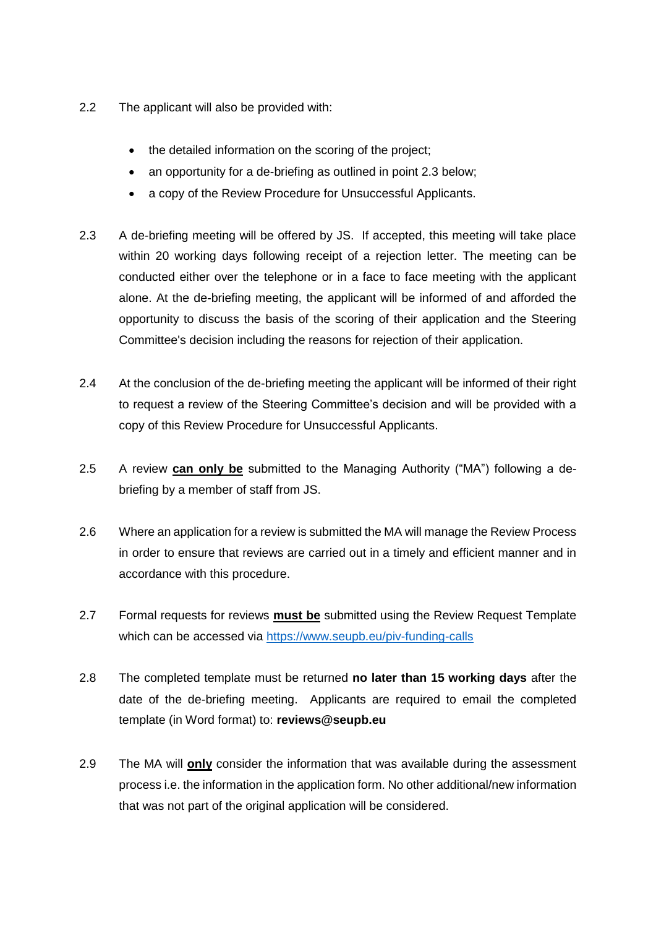- 2.2 The applicant will also be provided with:
	- the detailed information on the scoring of the project;
	- an opportunity for a de-briefing as outlined in point 2.3 below;
	- a copy of the Review Procedure for Unsuccessful Applicants.
- 2.3 A de-briefing meeting will be offered by JS. If accepted, this meeting will take place within 20 working days following receipt of a rejection letter. The meeting can be conducted either over the telephone or in a face to face meeting with the applicant alone. At the de-briefing meeting, the applicant will be informed of and afforded the opportunity to discuss the basis of the scoring of their application and the Steering Committee's decision including the reasons for rejection of their application.
- 2.4 At the conclusion of the de-briefing meeting the applicant will be informed of their right to request a review of the Steering Committee's decision and will be provided with a copy of this Review Procedure for Unsuccessful Applicants.
- 2.5 A review **can only be** submitted to the Managing Authority ("MA") following a debriefing by a member of staff from JS.
- 2.6 Where an application for a review is submitted the MA will manage the Review Process in order to ensure that reviews are carried out in a timely and efficient manner and in accordance with this procedure.
- 2.7 Formal requests for reviews **must be** submitted using the Review Request Template which can be accessed via<https://www.seupb.eu/piv-funding-calls>
- 2.8 The completed template must be returned **no later than 15 working days** after the date of the de-briefing meeting. Applicants are required to email the completed template (in Word format) to: **reviews@seupb.eu**
- 2.9 The MA will **only** consider the information that was available during the assessment process i.e. the information in the application form. No other additional/new information that was not part of the original application will be considered.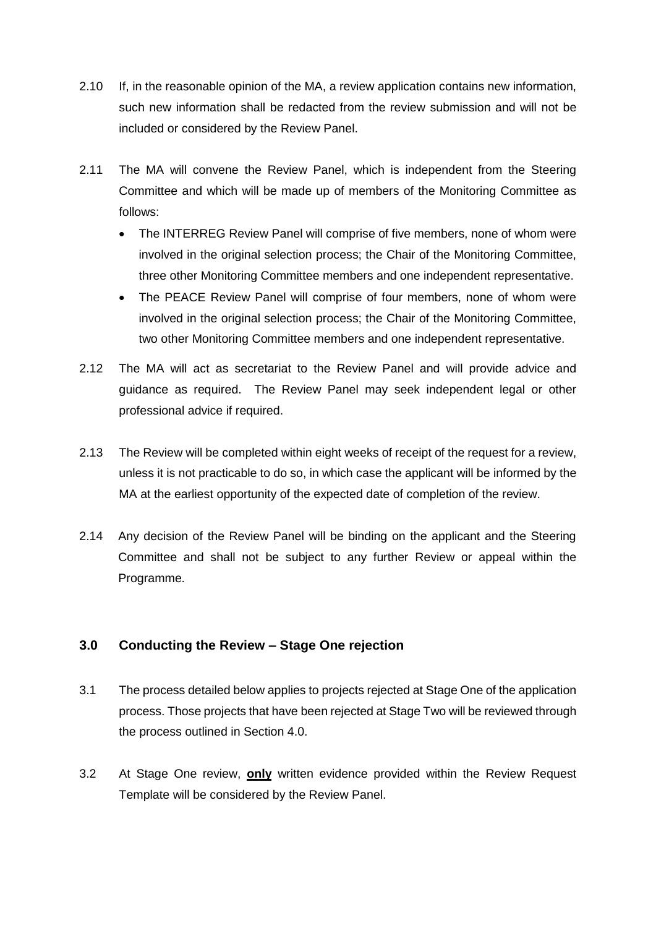- 2.10 If, in the reasonable opinion of the MA, a review application contains new information, such new information shall be redacted from the review submission and will not be included or considered by the Review Panel.
- 2.11 The MA will convene the Review Panel, which is independent from the Steering Committee and which will be made up of members of the Monitoring Committee as follows:
	- The INTERREG Review Panel will comprise of five members, none of whom were involved in the original selection process; the Chair of the Monitoring Committee, three other Monitoring Committee members and one independent representative.
	- The PEACE Review Panel will comprise of four members, none of whom were involved in the original selection process; the Chair of the Monitoring Committee, two other Monitoring Committee members and one independent representative.
- 2.12 The MA will act as secretariat to the Review Panel and will provide advice and guidance as required. The Review Panel may seek independent legal or other professional advice if required.
- 2.13 The Review will be completed within eight weeks of receipt of the request for a review, unless it is not practicable to do so, in which case the applicant will be informed by the MA at the earliest opportunity of the expected date of completion of the review.
- 2.14 Any decision of the Review Panel will be binding on the applicant and the Steering Committee and shall not be subject to any further Review or appeal within the Programme.

### **3.0 Conducting the Review – Stage One rejection**

- 3.1 The process detailed below applies to projects rejected at Stage One of the application process. Those projects that have been rejected at Stage Two will be reviewed through the process outlined in Section 4.0.
- 3.2 At Stage One review, **only** written evidence provided within the Review Request Template will be considered by the Review Panel.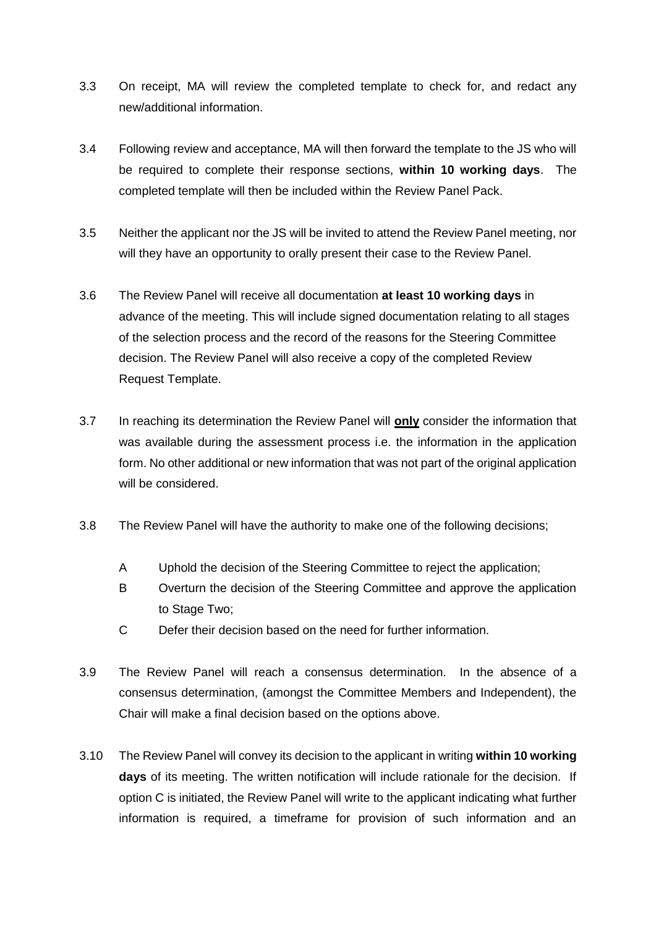- 3.3 On receipt, MA will review the completed template to check for, and redact any new/additional information.
- 3.4 Following review and acceptance, MA will then forward the template to the JS who will be required to complete their response sections, **within 10 working days**. The completed template will then be included within the Review Panel Pack.
- 3.5 Neither the applicant nor the JS will be invited to attend the Review Panel meeting, nor will they have an opportunity to orally present their case to the Review Panel.
- 3.6 The Review Panel will receive all documentation **at least 10 working days** in advance of the meeting. This will include signed documentation relating to all stages of the selection process and the record of the reasons for the Steering Committee decision. The Review Panel will also receive a copy of the completed Review Request Template.
- 3.7 In reaching its determination the Review Panel will **only** consider the information that was available during the assessment process i.e. the information in the application form. No other additional or new information that was not part of the original application will be considered.
- 3.8 The Review Panel will have the authority to make one of the following decisions;
	- A Uphold the decision of the Steering Committee to reject the application;
	- B Overturn the decision of the Steering Committee and approve the application to Stage Two:
	- C Defer their decision based on the need for further information.
- 3.9 The Review Panel will reach a consensus determination. In the absence of a consensus determination, (amongst the Committee Members and Independent), the Chair will make a final decision based on the options above.
- 3.10 The Review Panel will convey its decision to the applicant in writing **within 10 working days** of its meeting. The written notification will include rationale for the decision. If option C is initiated, the Review Panel will write to the applicant indicating what further information is required, a timeframe for provision of such information and an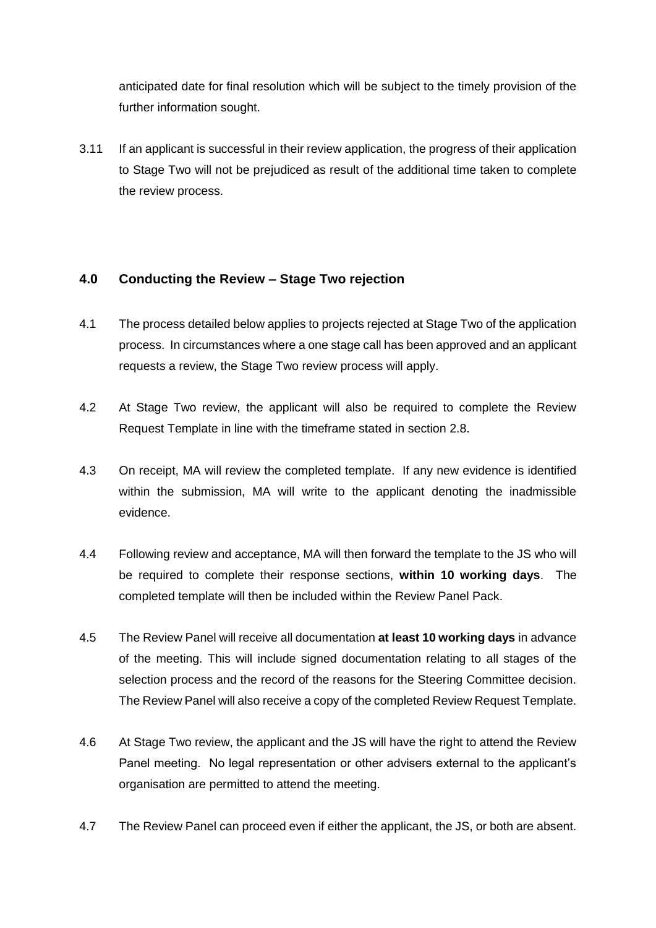anticipated date for final resolution which will be subject to the timely provision of the further information sought.

3.11 If an applicant is successful in their review application, the progress of their application to Stage Two will not be prejudiced as result of the additional time taken to complete the review process.

### **4.0 Conducting the Review – Stage Two rejection**

- 4.1 The process detailed below applies to projects rejected at Stage Two of the application process. In circumstances where a one stage call has been approved and an applicant requests a review, the Stage Two review process will apply.
- 4.2 At Stage Two review, the applicant will also be required to complete the Review Request Template in line with the timeframe stated in section 2.8.
- 4.3 On receipt, MA will review the completed template. If any new evidence is identified within the submission, MA will write to the applicant denoting the inadmissible evidence.
- 4.4 Following review and acceptance, MA will then forward the template to the JS who will be required to complete their response sections, **within 10 working days**. The completed template will then be included within the Review Panel Pack.
- 4.5 The Review Panel will receive all documentation **at least 10 working days** in advance of the meeting. This will include signed documentation relating to all stages of the selection process and the record of the reasons for the Steering Committee decision. The Review Panel will also receive a copy of the completed Review Request Template.
- 4.6 At Stage Two review, the applicant and the JS will have the right to attend the Review Panel meeting. No legal representation or other advisers external to the applicant's organisation are permitted to attend the meeting.
- 4.7 The Review Panel can proceed even if either the applicant, the JS, or both are absent.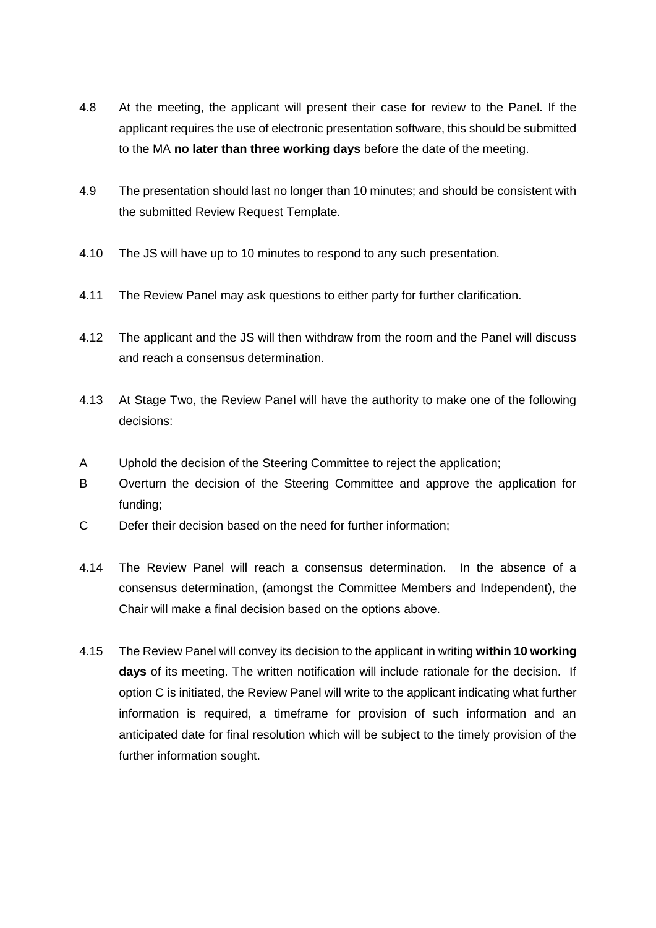- 4.8 At the meeting, the applicant will present their case for review to the Panel. If the applicant requires the use of electronic presentation software, this should be submitted to the MA **no later than three working days** before the date of the meeting.
- 4.9 The presentation should last no longer than 10 minutes; and should be consistent with the submitted Review Request Template.
- 4.10 The JS will have up to 10 minutes to respond to any such presentation.
- 4.11 The Review Panel may ask questions to either party for further clarification.
- 4.12 The applicant and the JS will then withdraw from the room and the Panel will discuss and reach a consensus determination.
- 4.13 At Stage Two, the Review Panel will have the authority to make one of the following decisions:
- A Uphold the decision of the Steering Committee to reject the application;
- B Overturn the decision of the Steering Committee and approve the application for funding;
- C Defer their decision based on the need for further information;
- 4.14 The Review Panel will reach a consensus determination. In the absence of a consensus determination, (amongst the Committee Members and Independent), the Chair will make a final decision based on the options above.
- 4.15 The Review Panel will convey its decision to the applicant in writing **within 10 working days** of its meeting. The written notification will include rationale for the decision. If option C is initiated, the Review Panel will write to the applicant indicating what further information is required, a timeframe for provision of such information and an anticipated date for final resolution which will be subject to the timely provision of the further information sought.